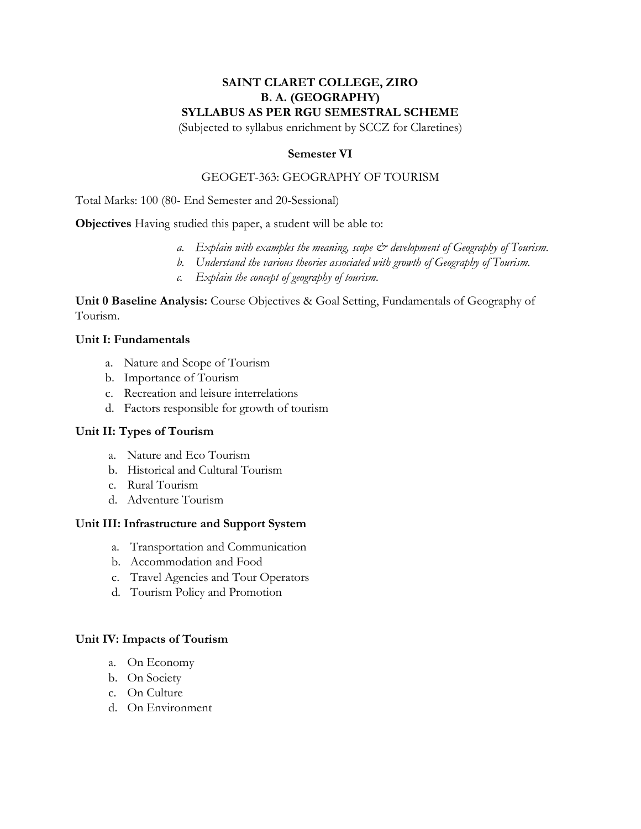# **SAINT CLARET COLLEGE, ZIRO B. A. (GEOGRAPHY) SYLLABUS AS PER RGU SEMESTRAL SCHEME**

(Subjected to syllabus enrichment by SCCZ for Claretines)

### **Semester VI**

### GEOGET-363: GEOGRAPHY OF TOURISM

Total Marks: 100 (80- End Semester and 20-Sessional)

**Objectives** Having studied this paper, a student will be able to:

- *a. Explain with examples the meaning, scope & development of Geography of Tourism.*
- *b. Understand the various theories associated with growth of Geography of Tourism.*
- *c. Explain the concept of geography of tourism.*

**Unit 0 Baseline Analysis:** Course Objectives & Goal Setting, Fundamentals of Geography of Tourism.

### **Unit I: Fundamentals**

- a. Nature and Scope of Tourism
- b. Importance of Tourism
- c. Recreation and leisure interrelations
- d. Factors responsible for growth of tourism

### **Unit II: Types of Tourism**

- a. Nature and Eco Tourism
- b. Historical and Cultural Tourism
- c. Rural Tourism
- d. Adventure Tourism

### **Unit III: Infrastructure and Support System**

- a. Transportation and Communication
- b. Accommodation and Food
- c. Travel Agencies and Tour Operators
- d. Tourism Policy and Promotion

#### **Unit IV: Impacts of Tourism**

- a. On Economy
- b. On Society
- c. On Culture
- d. On Environment